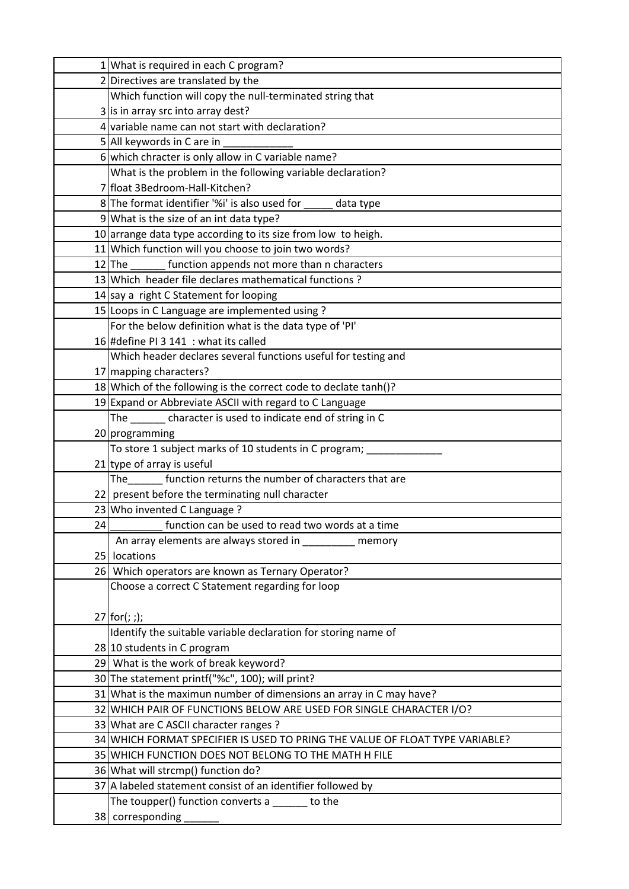|    | 1 What is required in each C program?                                        |
|----|------------------------------------------------------------------------------|
|    | 2 Directives are translated by the                                           |
|    | Which function will copy the null-terminated string that                     |
|    | 3 is in array src into array dest?                                           |
|    | 4 variable name can not start with declaration?                              |
|    | 5 All keywords in C are in                                                   |
|    | 6 which chracter is only allow in C variable name?                           |
|    | What is the problem in the following variable declaration?                   |
|    | 7 float 3Bedroom-Hall-Kitchen?                                               |
|    | 8 The format identifier '%i' is also used for<br>data type                   |
|    | 9 What is the size of an int data type?                                      |
|    | 10 arrange data type according to its size from low to heigh.                |
|    | 11 Which function will you choose to join two words?                         |
|    | function appends not more than n characters<br>$12$ The                      |
|    | 13 Which header file declares mathematical functions?                        |
|    | 14 say a right C Statement for looping                                       |
|    | 15 Loops in C Language are implemented using?                                |
|    | For the below definition what is the data type of 'PI'                       |
|    | 16 #define PI 3 141 : what its called                                        |
|    | Which header declares several functions useful for testing and               |
|    | 17 mapping characters?                                                       |
|    | 18 Which of the following is the correct code to declate tanh()?             |
|    | 19 Expand or Abbreviate ASCII with regard to C Language                      |
|    | The _______ character is used to indicate end of string in C                 |
|    | 20 programming                                                               |
|    | To store 1 subject marks of 10 students in C program;                        |
|    | $21$ type of array is useful                                                 |
|    | The function returns the number of characters that are                       |
|    | 22 present before the terminating null character                             |
|    | 23 Who invented C Language ?                                                 |
| 24 | function can be used to read two words at a time                             |
|    | An array elements are always stored in<br>memory                             |
|    | 25 locations                                                                 |
|    | 26 Which operators are known as Ternary Operator?                            |
|    | Choose a correct C Statement regarding for loop                              |
|    |                                                                              |
|    | $27$ for(; ;);                                                               |
|    | Identify the suitable variable declaration for storing name of               |
|    | 28 10 students in C program                                                  |
|    | 29 What is the work of break keyword?                                        |
|    | 30 The statement printf("%c", 100); will print?                              |
|    | 31 What is the maximun number of dimensions an array in C may have?          |
|    | 32 WHICH PAIR OF FUNCTIONS BELOW ARE USED FOR SINGLE CHARACTER I/O?          |
|    | 33 What are C ASCII character ranges ?                                       |
|    | 34 WHICH FORMAT SPECIFIER IS USED TO PRING THE VALUE OF FLOAT TYPE VARIABLE? |
|    | 35 WHICH FUNCTION DOES NOT BELONG TO THE MATH H FILE                         |
|    | 36 What will strcmp() function do?                                           |
|    | 37 A labeled statement consist of an identifier followed by                  |
|    | The toupper() function converts a ______ to the                              |
|    | 38 corresponding                                                             |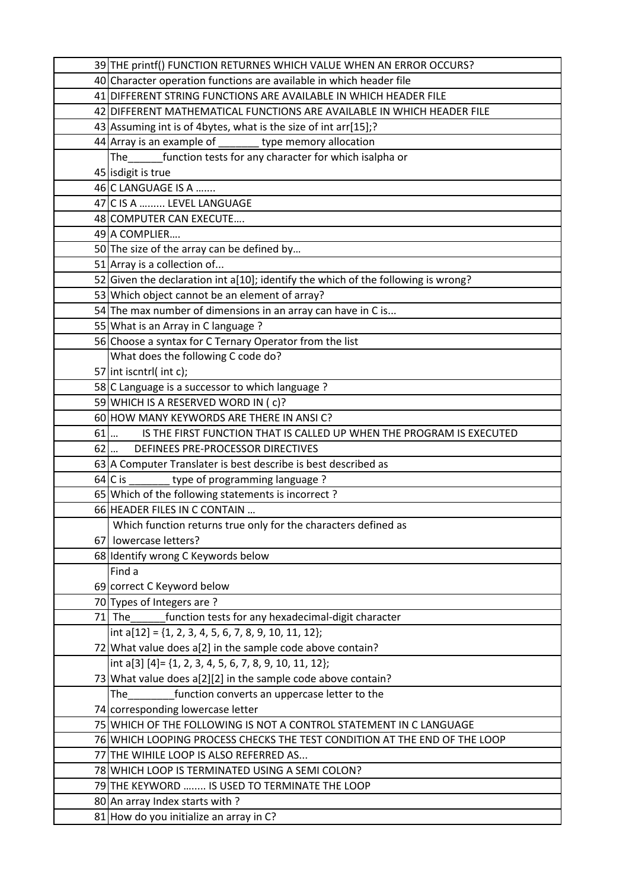|      | 39 THE printf() FUNCTION RETURNES WHICH VALUE WHEN AN ERROR OCCURS?                              |
|------|--------------------------------------------------------------------------------------------------|
|      | 40 Character operation functions are available in which header file                              |
|      | 41 DIFFERENT STRING FUNCTIONS ARE AVAILABLE IN WHICH HEADER FILE                                 |
|      | 42 DIFFERENT MATHEMATICAL FUNCTIONS ARE AVAILABLE IN WHICH HEADER FILE                           |
|      | 43 Assuming int is of 4 bytes, what is the size of int arr[15];?                                 |
|      | $44$ Array is an example of ________ type memory allocation                                      |
|      | The function tests for any character for which isalpha or                                        |
|      | 45 isdigit is true                                                                               |
|      | 46 C LANGUAGE IS A                                                                               |
|      | 47 C IS A  LEVEL LANGUAGE                                                                        |
|      | 48 COMPUTER CAN EXECUTE                                                                          |
|      | 49 A COMPLIER                                                                                    |
|      | 50 The size of the array can be defined by                                                       |
|      | 51 Array is a collection of                                                                      |
|      | 52 Given the declaration int a[10]; identify the which of the following is wrong?                |
|      | 53 Which object cannot be an element of array?                                                   |
|      | 54 The max number of dimensions in an array can have in C is                                     |
|      | 55 What is an Array in C language ?                                                              |
|      | 56 Choose a syntax for C Ternary Operator from the list                                          |
|      | What does the following C code do?                                                               |
|      | 57 int iscntrl( int c);                                                                          |
|      | 58 C Language is a successor to which language?                                                  |
|      | 59 WHICH IS A RESERVED WORD IN (c)?                                                              |
|      | 60 HOW MANY KEYWORDS ARE THERE IN ANSIC?                                                         |
| 61   | IS THE FIRST FUNCTION THAT IS CALLED UP WHEN THE PROGRAM IS EXECUTED<br>$\overline{\cdots}$      |
| $62$ | DEFINEES PRE-PROCESSOR DIRECTIVES                                                                |
|      | 63 A Computer Translater is best describe is best described as                                   |
|      | $64$ C is<br>type of programming language?                                                       |
|      | 65 Which of the following statements is incorrect?                                               |
|      | 66 HEADER FILES IN C CONTAIN                                                                     |
|      | Which function returns true only for the characters defined as                                   |
|      | 67 lowercase letters?                                                                            |
|      | 68 Identify wrong C Keywords below                                                               |
|      | Find a                                                                                           |
|      | 69 correct C Keyword below                                                                       |
|      | 70 Types of Integers are ?                                                                       |
|      | $71$ The<br>function tests for any hexadecimal-digit character                                   |
|      | int $a[12] = \{1, 2, 3, 4, 5, 6, 7, 8, 9, 10, 11, 12\};$                                         |
|      | 72 What value does a[2] in the sample code above contain?                                        |
|      | int a[3] $[4] = \{1, 2, 3, 4, 5, 6, 7, 8, 9, 10, 11, 12\};$                                      |
|      | 73 What value does a[2][2] in the sample code above contain?                                     |
|      | function converts an uppercase letter to the<br>The                                              |
|      | 74 corresponding lowercase letter                                                                |
|      | 75 WHICH OF THE FOLLOWING IS NOT A CONTROL STATEMENT IN C LANGUAGE                               |
|      | 76 WHICH LOOPING PROCESS CHECKS THE TEST CONDITION AT THE END OF THE LOOP                        |
|      | 77 THE WIHILE LOOP IS ALSO REFERRED AS                                                           |
|      | 78 WHICH LOOP IS TERMINATED USING A SEMI COLON?<br>79 THE KEYWORD  IS USED TO TERMINATE THE LOOP |
|      |                                                                                                  |
|      | 80 An array Index starts with?                                                                   |
|      | 81 How do you initialize an array in C?                                                          |